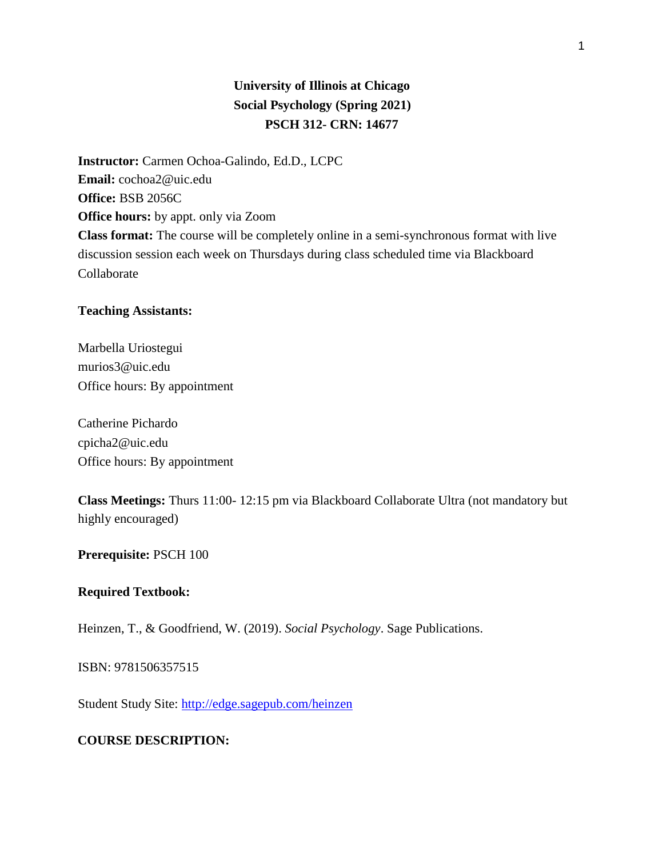# **University of Illinois at Chicago Social Psychology (Spring 2021) PSCH 312- CRN: 14677**

**Instructor:** Carmen Ochoa-Galindo, Ed.D., LCPC **Email:** cochoa2@uic.edu **Office:** BSB 2056C **Office hours:** by appt. only via Zoom **Class format:** The course will be completely online in a semi-synchronous format with live discussion session each week on Thursdays during class scheduled time via Blackboard Collaborate

#### **Teaching Assistants:**

Marbella Uriostegui murios3@uic.edu Office hours: By appointment

Catherine Pichardo cpicha2@uic.edu Office hours: By appointment

**Class Meetings:** Thurs 11:00- 12:15 pm via Blackboard Collaborate Ultra (not mandatory but highly encouraged)

#### **Prerequisite:** PSCH 100

#### **Required Textbook:**

Heinzen, T., & Goodfriend, W. (2019). *Social Psychology*. Sage Publications.

ISBN: 9781506357515

Student Study Site:<http://edge.sagepub.com/heinzen>

## **COURSE DESCRIPTION:**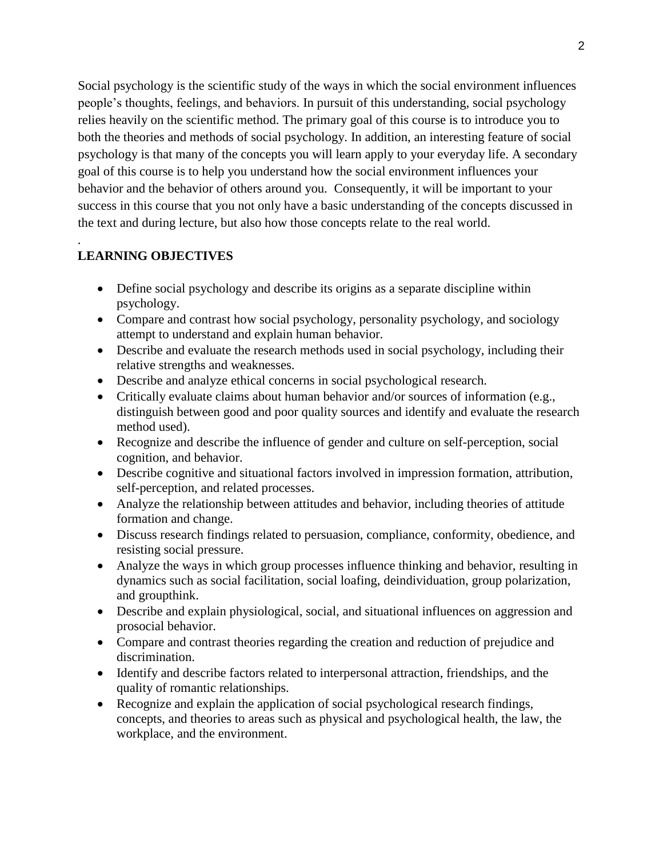Social psychology is the scientific study of the ways in which the social environment influences people's thoughts, feelings, and behaviors. In pursuit of this understanding, social psychology relies heavily on the scientific method. The primary goal of this course is to introduce you to both the theories and methods of social psychology. In addition, an interesting feature of social psychology is that many of the concepts you will learn apply to your everyday life. A secondary goal of this course is to help you understand how the social environment influences your behavior and the behavior of others around you. Consequently, it will be important to your success in this course that you not only have a basic understanding of the concepts discussed in the text and during lecture, but also how those concepts relate to the real world.

# **LEARNING OBJECTIVES**

.

- Define social psychology and describe its origins as a separate discipline within psychology.
- Compare and contrast how social psychology, personality psychology, and sociology attempt to understand and explain human behavior.
- Describe and evaluate the research methods used in social psychology, including their relative strengths and weaknesses.
- Describe and analyze ethical concerns in social psychological research.
- Critically evaluate claims about human behavior and/or sources of information (e.g., distinguish between good and poor quality sources and identify and evaluate the research method used).
- Recognize and describe the influence of gender and culture on self-perception, social cognition, and behavior.
- Describe cognitive and situational factors involved in impression formation, attribution, self-perception, and related processes.
- Analyze the relationship between attitudes and behavior, including theories of attitude formation and change.
- Discuss research findings related to persuasion, compliance, conformity, obedience, and resisting social pressure.
- Analyze the ways in which group processes influence thinking and behavior, resulting in dynamics such as social facilitation, social loafing, deindividuation, group polarization, and groupthink.
- Describe and explain physiological, social, and situational influences on aggression and prosocial behavior.
- Compare and contrast theories regarding the creation and reduction of prejudice and discrimination.
- Identify and describe factors related to interpersonal attraction, friendships, and the quality of romantic relationships.
- Recognize and explain the application of social psychological research findings, concepts, and theories to areas such as physical and psychological health, the law, the workplace, and the environment.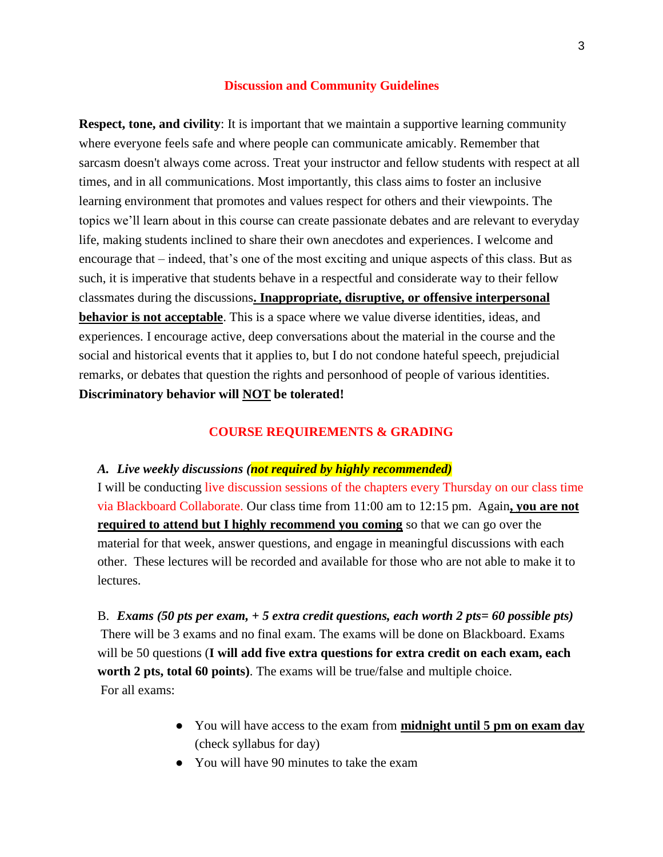#### **Discussion and Community Guidelines**

**Respect, tone, and civility**: It is important that we maintain a supportive learning community where everyone feels safe and where people can communicate amicably. Remember that sarcasm doesn't always come across. Treat your instructor and fellow students with respect at all times, and in all communications. Most importantly, this class aims to foster an inclusive learning environment that promotes and values respect for others and their viewpoints. The topics we'll learn about in this course can create passionate debates and are relevant to everyday life, making students inclined to share their own anecdotes and experiences. I welcome and encourage that – indeed, that's one of the most exciting and unique aspects of this class. But as such, it is imperative that students behave in a respectful and considerate way to their fellow classmates during the discussions**. Inappropriate, disruptive, or offensive interpersonal behavior is not acceptable**. This is a space where we value diverse identities, ideas, and experiences. I encourage active, deep conversations about the material in the course and the social and historical events that it applies to, but I do not condone hateful speech, prejudicial remarks, or debates that question the rights and personhood of people of various identities. **Discriminatory behavior will NOT be tolerated!**

#### **COURSE REQUIREMENTS & GRADING**

#### *A. Live weekly discussions (not required by highly recommended)*

I will be conducting live discussion sessions of the chapters every Thursday on our class time via Blackboard Collaborate. Our class time from 11:00 am to 12:15 pm. Again**, you are not required to attend but I highly recommend you coming** so that we can go over the material for that week, answer questions, and engage in meaningful discussions with each other. These lectures will be recorded and available for those who are not able to make it to lectures.

B. *Exams (50 pts per exam, + 5 extra credit questions, each worth 2 pts= 60 possible pts)* There will be 3 exams and no final exam. The exams will be done on Blackboard. Exams will be 50 questions (**I will add five extra questions for extra credit on each exam, each worth 2 pts, total 60 points)**. The exams will be true/false and multiple choice. For all exams:

- You will have access to the exam from **midnight until 5 pm on exam day** (check syllabus for day)
- You will have 90 minutes to take the exam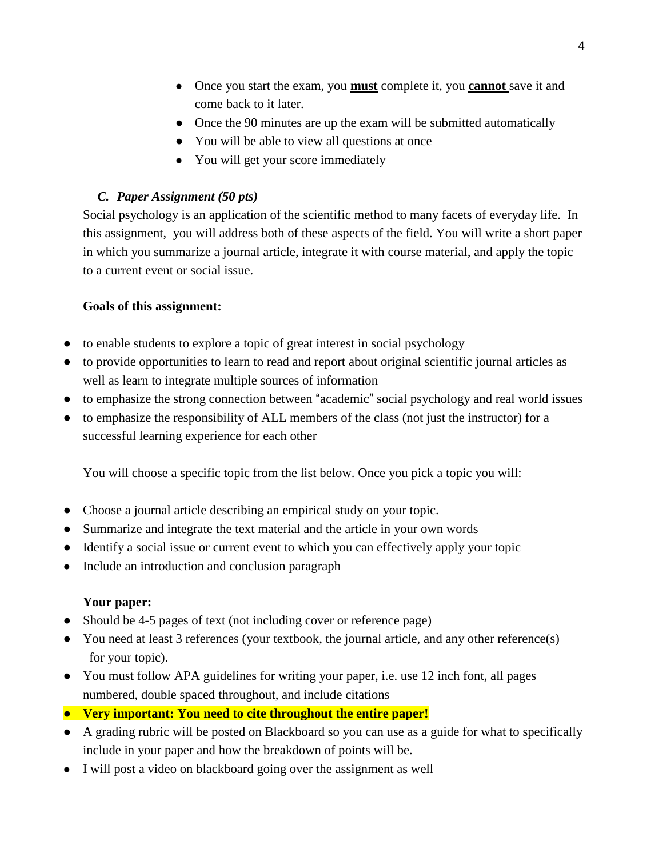- Once you start the exam, you **must** complete it, you **cannot** save it and come back to it later.
- Once the 90 minutes are up the exam will be submitted automatically
- You will be able to view all questions at once
- You will get your score immediately

# *C. Paper Assignment (50 pts)*

Social psychology is an application of the scientific method to many facets of everyday life. In this assignment, you will address both of these aspects of the field. You will write a short paper in which you summarize a journal article, integrate it with course material, and apply the topic to a current event or social issue.

## **Goals of this assignment:**

- to enable students to explore a topic of great interest in social psychology
- to provide opportunities to learn to read and report about original scientific journal articles as well as learn to integrate multiple sources of information
- to emphasize the strong connection between "academic" social psychology and real world issues
- to emphasize the responsibility of ALL members of the class (not just the instructor) for a successful learning experience for each other

You will choose a specific topic from the list below. Once you pick a topic you will:

- Choose a journal article describing an empirical study on your topic.
- Summarize and integrate the text material and the article in your own words
- Identify a social issue or current event to which you can effectively apply your topic
- Include an introduction and conclusion paragraph

## **Your paper:**

- Should be 4-5 pages of text (not including cover or reference page)
- You need at least 3 references (your textbook, the journal article, and any other reference(s) for your topic).
- You must follow APA guidelines for writing your paper, i.e. use 12 inch font, all pages numbered, double spaced throughout, and include citations
- **Very important: You need to cite throughout the entire paper!**
- A grading rubric will be posted on Blackboard so you can use as a guide for what to specifically include in your paper and how the breakdown of points will be.
- I will post a video on blackboard going over the assignment as well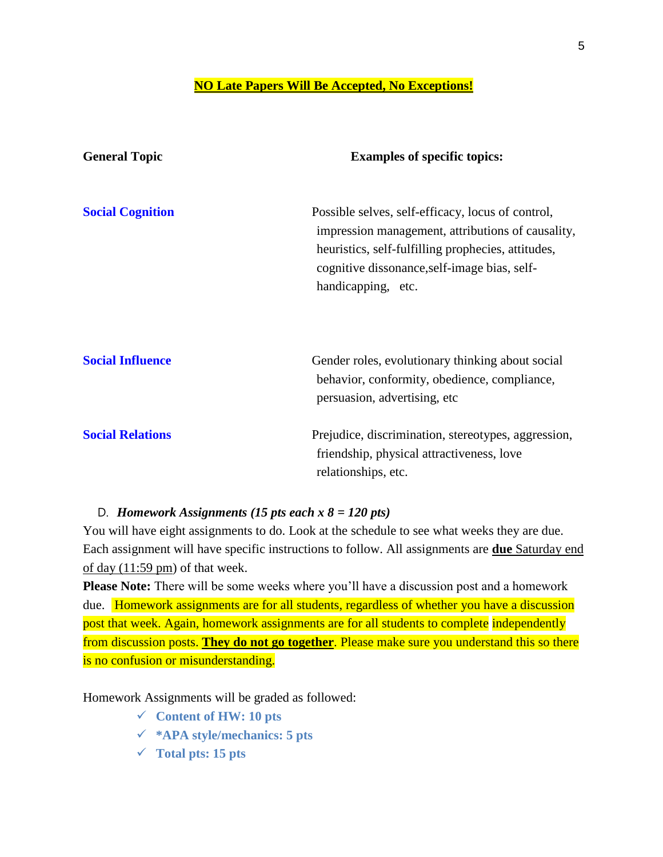## **NO Late Papers Will Be Accepted, No Exceptions!**

| <b>General Topic</b>    | <b>Examples of specific topics:</b>                                                                                                                                                                                                |
|-------------------------|------------------------------------------------------------------------------------------------------------------------------------------------------------------------------------------------------------------------------------|
| <b>Social Cognition</b> | Possible selves, self-efficacy, locus of control,<br>impression management, attributions of causality,<br>heuristics, self-fulfilling prophecies, attitudes,<br>cognitive dissonance, self-image bias, self-<br>handicapping, etc. |
| <b>Social Influence</b> | Gender roles, evolutionary thinking about social<br>behavior, conformity, obedience, compliance,<br>persuasion, advertising, etc.                                                                                                  |
| <b>Social Relations</b> | Prejudice, discrimination, stereotypes, aggression,<br>friendship, physical attractiveness, love<br>relationships, etc.                                                                                                            |

# D. *Homework Assignments (15 pts each x 8 = 120 pts)*

You will have eight assignments to do. Look at the schedule to see what weeks they are due. Each assignment will have specific instructions to follow. All assignments are **due** Saturday end of day (11:59 pm) of that week.

**Please Note:** There will be some weeks where you'll have a discussion post and a homework due. Homework assignments are for all students, regardless of whether you have a discussion post that week. Again, homework assignments are for all students to complete independently from discussion posts. **They do not go together**. Please make sure you understand this so there is no confusion or misunderstanding.

Homework Assignments will be graded as followed:

- **Content of HW: 10 pts**
- **\*APA style/mechanics: 5 pts**
- **Total pts: 15 pts**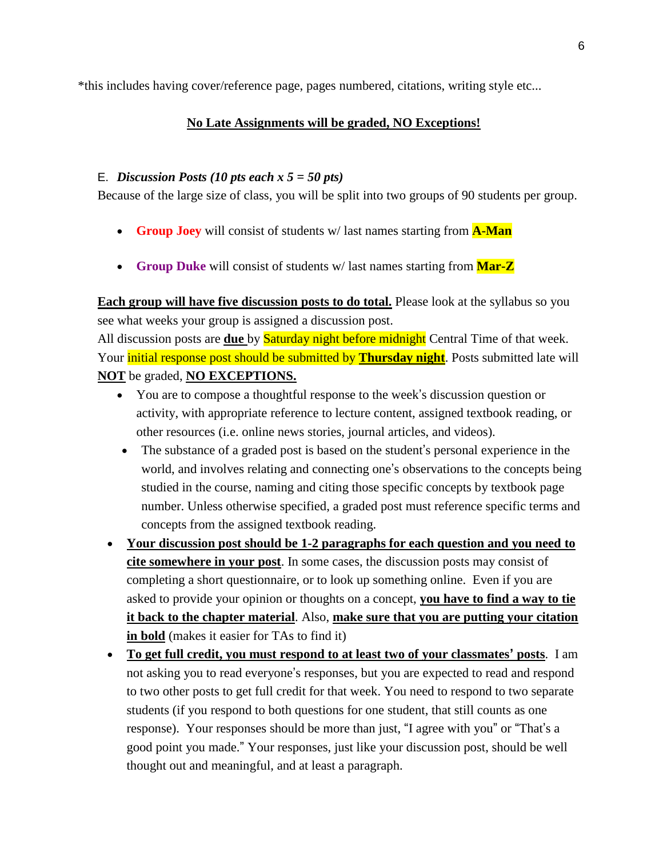\*this includes having cover/reference page, pages numbered, citations, writing style etc...

## **No Late Assignments will be graded, NO Exceptions!**

## E. *Discussion Posts (10 pts each x 5 = 50 pts)*

Because of the large size of class, you will be split into two groups of 90 students per group.

- **Group Joey** will consist of students w/ last names starting from **A-Man**
- **Group Duke** will consist of students w/ last names starting from **Mar-Z**

**Each group will have five discussion posts to do total.** Please look at the syllabus so you see what weeks your group is assigned a discussion post.

All discussion posts are **due** by Saturday night before midnight Central Time of that week. Your **initial response post should be submitted by Thursday night**. Posts submitted late will **NOT** be graded, **NO EXCEPTIONS.** 

- You are to compose a thoughtful response to the week's discussion question or activity, with appropriate reference to lecture content, assigned textbook reading, or other resources (i.e. online news stories, journal articles, and videos).
- The substance of a graded post is based on the student's personal experience in the world, and involves relating and connecting one's observations to the concepts being studied in the course, naming and citing those specific concepts by textbook page number. Unless otherwise specified, a graded post must reference specific terms and concepts from the assigned textbook reading.
- **Your discussion post should be 1-2 paragraphs for each question and you need to cite somewhere in your post**. In some cases, the discussion posts may consist of completing a short questionnaire, or to look up something online. Even if you are asked to provide your opinion or thoughts on a concept, **you have to find a way to tie it back to the chapter material**. Also, **make sure that you are putting your citation in bold** (makes it easier for TAs to find it)
- **To get full credit, you must respond to at least two of your classmates' posts**. I am not asking you to read everyone's responses, but you are expected to read and respond to two other posts to get full credit for that week. You need to respond to two separate students (if you respond to both questions for one student, that still counts as one response). Your responses should be more than just, "I agree with you" or "That's a good point you made." Your responses, just like your discussion post, should be well thought out and meaningful, and at least a paragraph.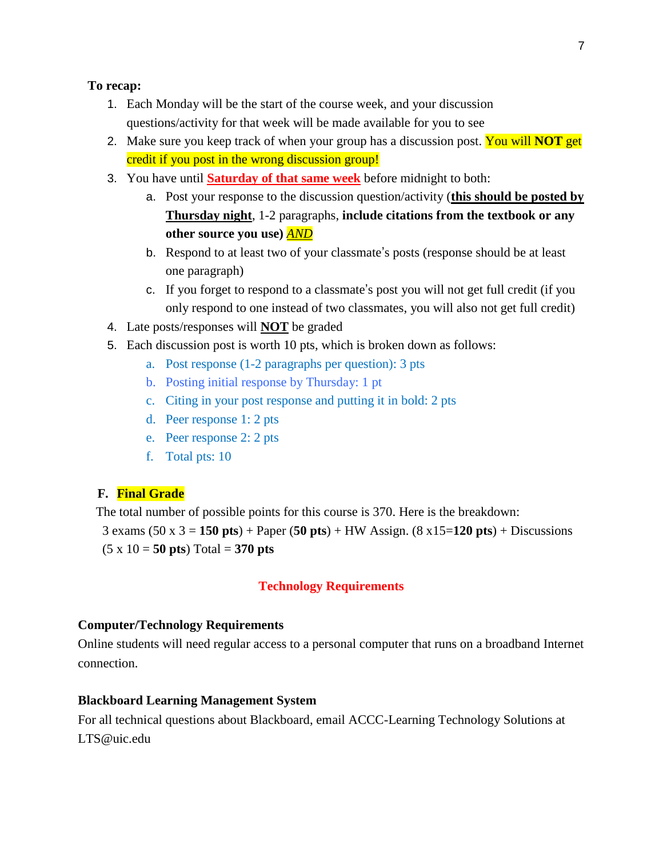### **To recap:**

- 1. Each Monday will be the start of the course week, and your discussion questions/activity for that week will be made available for you to see
- 2. Make sure you keep track of when your group has a discussion post. You will **NOT** get credit if you post in the wrong discussion group!
- 3. You have until **Saturday of that same week** before midnight to both:
	- a. Post your response to the discussion question/activity (**this should be posted by Thursday night**, 1-2 paragraphs, **include citations from the textbook or any other source you use)** *AND*
	- b. Respond to at least two of your classmate's posts (response should be at least one paragraph)
	- c. If you forget to respond to a classmate's post you will not get full credit (if you only respond to one instead of two classmates, you will also not get full credit)
- 4. Late posts/responses will **NOT** be graded
- 5. Each discussion post is worth 10 pts, which is broken down as follows:
	- a. Post response (1-2 paragraphs per question): 3 pts
	- b. Posting initial response by Thursday: 1 pt
	- c. Citing in your post response and putting it in bold: 2 pts
	- d. Peer response 1: 2 pts
	- e. Peer response 2: 2 pts
	- f. Total pts: 10

### **F. Final Grade**

The total number of possible points for this course is 370. Here is the breakdown:

3 exams (50 x 3 = **150 pts**) + Paper (**50 pts**) + HW Assign. (8 x15=**120 pts**) + Discussions  $(5 \times 10 = 50 \text{ pts}) \text{Total} = 370 \text{ pts}$ 

### **Technology Requirements**

### **Computer/Technology Requirements**

Online students will need regular access to a personal computer that runs on a broadband Internet connection.

#### **Blackboard Learning Management System**

For all technical questions about Blackboard, email ACCC-Learning Technology Solutions at LTS@uic.edu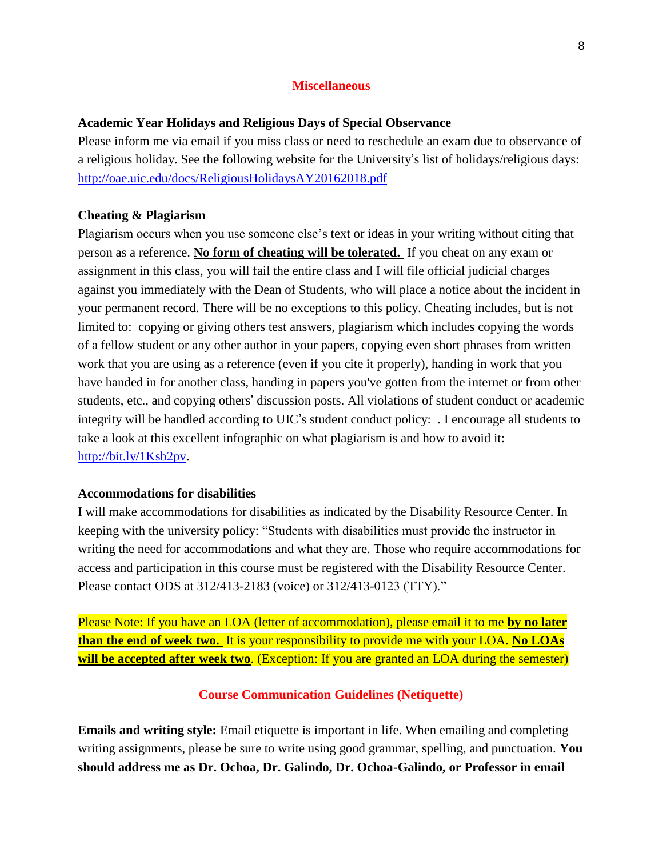#### **Miscellaneous**

#### **Academic Year Holidays and Religious Days of Special Observance**

Please inform me via email if you miss class or need to reschedule an exam due to observance of a religious holiday. See the following website for the University's list of holidays/religious days: http://oae.uic.edu/docs/ReligiousHolidaysAY20162018.pdf

#### **Cheating & Plagiarism**

Plagiarism occurs when you use someone else's text or ideas in your writing without citing that person as a reference. **No form of cheating will be tolerated.** If you cheat on any exam or assignment in this class, you will fail the entire class and I will file official judicial charges against you immediately with the Dean of Students, who will place a notice about the incident in your permanent record. There will be no exceptions to this policy. Cheating includes, but is not limited to: copying or giving others test answers, plagiarism which includes copying the words of a fellow student or any other author in your papers, copying even short phrases from written work that you are using as a reference (even if you cite it properly), handing in work that you have handed in for another class, handing in papers you've gotten from the internet or from other students, etc., and copying others' discussion posts. All violations of student conduct or academic integrity will be handled according to UIC's student conduct policy: . I encourage all students to take a look at this excellent infographic on what plagiarism is and how to avoid it: http://bit.ly/1Ksb2pv.

#### **Accommodations for disabilities**

I will make accommodations for disabilities as indicated by the Disability Resource Center. In keeping with the university policy: "Students with disabilities must provide the instructor in writing the need for accommodations and what they are. Those who require accommodations for access and participation in this course must be registered with the Disability Resource Center. Please contact ODS at 312/413-2183 (voice) or 312/413-0123 (TTY)."

Please Note: If you have an LOA (letter of accommodation), please email it to me **by no later than the end of week two.** It is your responsibility to provide me with your LOA. **No LOAs will be accepted after week two**. (Exception: If you are granted an LOA during the semester)

#### **Course Communication Guidelines (Netiquette)**

**Emails and writing style:** Email etiquette is important in life. When emailing and completing writing assignments, please be sure to write using good grammar, spelling, and punctuation. **You should address me as Dr. Ochoa, Dr. Galindo, Dr. Ochoa-Galindo, or Professor in email**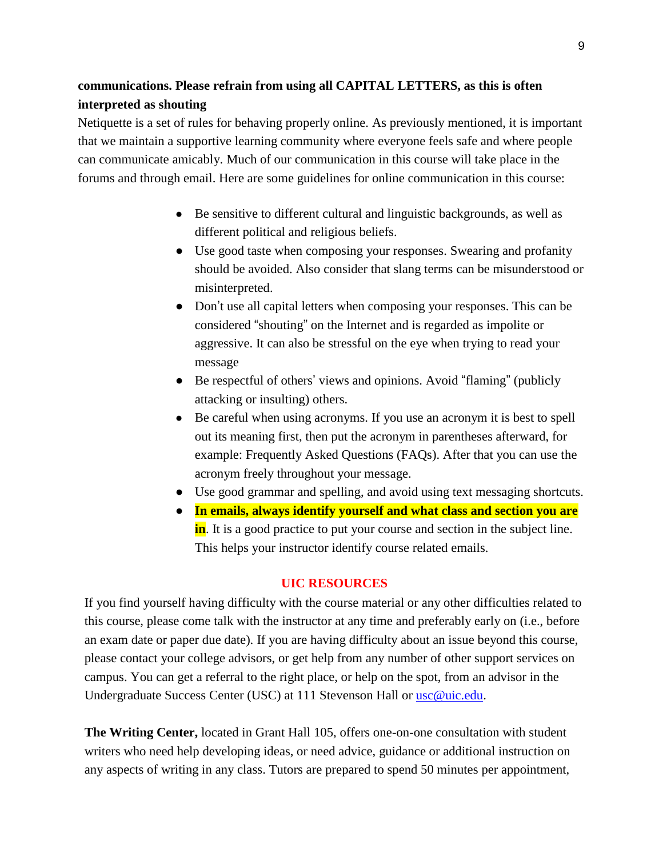# **communications. Please refrain from using all CAPITAL LETTERS, as this is often interpreted as shouting**

Netiquette is a set of rules for behaving properly online. As previously mentioned, it is important that we maintain a supportive learning community where everyone feels safe and where people can communicate amicably. Much of our communication in this course will take place in the forums and through email. Here are some guidelines for online communication in this course:

- Be sensitive to different cultural and linguistic backgrounds, as well as different political and religious beliefs.
- Use good taste when composing your responses. Swearing and profanity should be avoided. Also consider that slang terms can be misunderstood or misinterpreted.
- Don't use all capital letters when composing your responses. This can be considered "shouting" on the Internet and is regarded as impolite or aggressive. It can also be stressful on the eye when trying to read your message
- Be respectful of others' views and opinions. Avoid "flaming" (publicly attacking or insulting) others.
- Be careful when using acronyms. If you use an acronym it is best to spell out its meaning first, then put the acronym in parentheses afterward, for example: Frequently Asked Questions (FAQs). After that you can use the acronym freely throughout your message.
- Use good grammar and spelling, and avoid using text messaging shortcuts.
- In emails, always identify yourself and what class and section you are **in**. It is a good practice to put your course and section in the subject line. This helps your instructor identify course related emails.

## **UIC RESOURCES**

If you find yourself having difficulty with the course material or any other difficulties related to this course, please come talk with the instructor at any time and preferably early on (i.e., before an exam date or paper due date). If you are having difficulty about an issue beyond this course, please contact your college advisors, or get help from any number of other support services on campus. You can get a referral to the right place, or help on the spot, from an advisor in the Undergraduate Success Center (USC) at 111 Stevenson Hall or usc@uic.edu.

**The Writing Center,** located in Grant Hall 105, offers one-on-one consultation with student writers who need help developing ideas, or need advice, guidance or additional instruction on any aspects of writing in any class. Tutors are prepared to spend 50 minutes per appointment,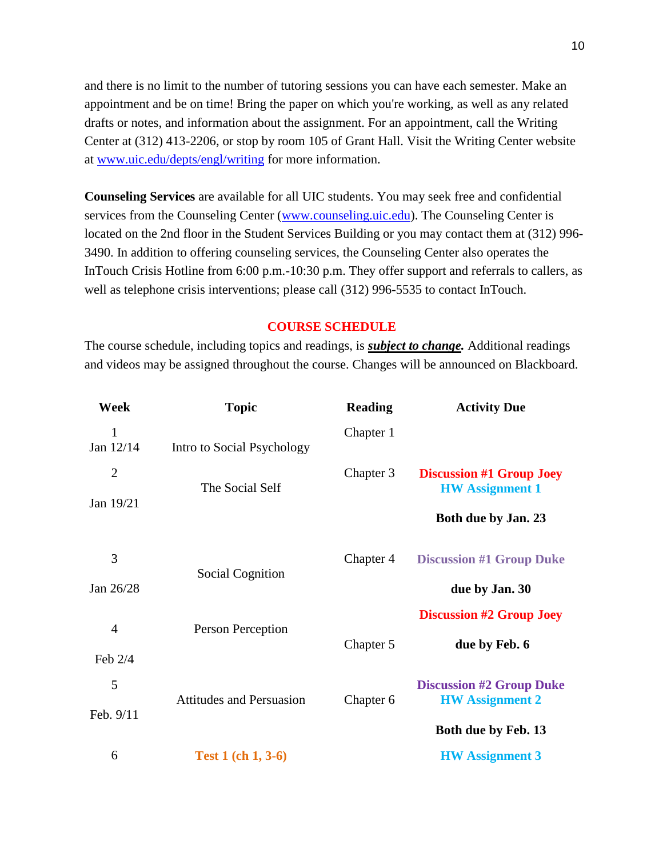and there is no limit to the number of tutoring sessions you can have each semester. Make an appointment and be on time! Bring the paper on which you're working, as well as any related drafts or notes, and information about the assignment. For an appointment, call the Writing Center at (312) 413-2206, or stop by room 105 of Grant Hall. Visit the Writing Center website at www.uic.edu/depts/engl/writing for more information.

**Counseling Services** are available for all UIC students. You may seek free and confidential services from the Counseling Center (www.counseling.uic.edu). The Counseling Center is located on the 2nd floor in the Student Services Building or you may contact them at (312) 996- 3490. In addition to offering counseling services, the Counseling Center also operates the InTouch Crisis Hotline from 6:00 p.m.-10:30 p.m. They offer support and referrals to callers, as well as telephone crisis interventions; please call (312) 996-5535 to contact InTouch.

#### **COURSE SCHEDULE**

The course schedule, including topics and readings, is *subject to change.* Additional readings and videos may be assigned throughout the course. Changes will be announced on Blackboard.

| Week           | <b>Topic</b>                    | <b>Reading</b> | <b>Activity Due</b>                                       |
|----------------|---------------------------------|----------------|-----------------------------------------------------------|
| 1<br>Jan 12/14 | Intro to Social Psychology      | Chapter 1      |                                                           |
| $\overline{2}$ | The Social Self                 | Chapter 3      | <b>Discussion #1 Group Joey</b><br><b>HW</b> Assignment 1 |
| Jan 19/21      |                                 |                | Both due by Jan. 23                                       |
| 3              |                                 | Chapter 4      | <b>Discussion #1 Group Duke</b>                           |
| Jan 26/28      | <b>Social Cognition</b>         |                | due by Jan. 30                                            |
|                |                                 |                | <b>Discussion #2 Group Joey</b>                           |
| $\overline{4}$ | Person Perception               | Chapter 5      | due by Feb. 6                                             |
| Feb 2/4        |                                 |                |                                                           |
| 5              | <b>Attitudes and Persuasion</b> | Chapter 6      | <b>Discussion #2 Group Duke</b>                           |
| Feb. 9/11      |                                 |                | <b>HW Assignment 2</b>                                    |
|                |                                 |                | Both due by Feb. 13                                       |
| 6              | <b>Test 1 (ch 1, 3-6)</b>       |                | <b>HW</b> Assignment 3                                    |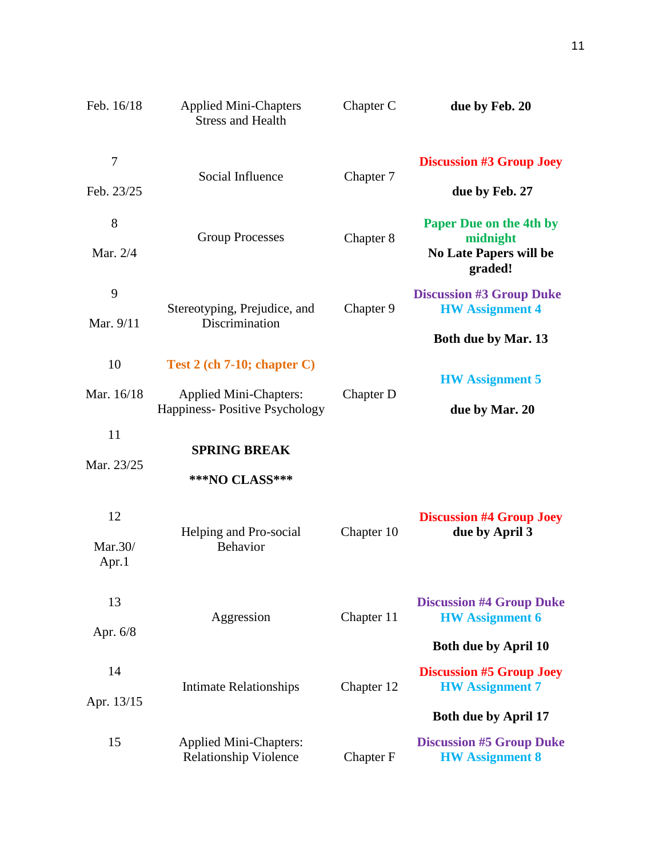| Feb. 16/18             | <b>Applied Mini-Chapters</b><br><b>Stress and Health</b>                                        | Chapter C  | due by Feb. 20                                                                                                          |
|------------------------|-------------------------------------------------------------------------------------------------|------------|-------------------------------------------------------------------------------------------------------------------------|
| 7<br>Feb. 23/25        | Social Influence                                                                                | Chapter 7  | <b>Discussion #3 Group Joey</b><br>due by Feb. 27                                                                       |
| 8<br>Mar. 2/4          | <b>Group Processes</b>                                                                          | Chapter 8  | <b>Paper Due on the 4th by</b><br>midnight<br><b>No Late Papers will be</b><br>graded!                                  |
| 9<br>Mar. 9/11         | Stereotyping, Prejudice, and<br>Discrimination                                                  | Chapter 9  | <b>Discussion #3 Group Duke</b><br><b>HW</b> Assignment 4<br><b>Both due by Mar. 13</b>                                 |
| 10<br>Mar. 16/18       | Test $2$ (ch 7-10; chapter C)<br><b>Applied Mini-Chapters:</b><br>Happiness-Positive Psychology | Chapter D  | <b>HW</b> Assignment 5<br>due by Mar. 20                                                                                |
| 11<br>Mar. 23/25       | <b>SPRING BREAK</b><br>***NO CLASS***                                                           |            |                                                                                                                         |
| 12<br>Mar.30/<br>Apr.1 | Helping and Pro-social<br><b>Behavior</b>                                                       | Chapter 10 | <b>Discussion #4 Group Joey</b><br>due by April 3                                                                       |
| 13<br>Apr. $6/8$       | Aggression                                                                                      | Chapter 11 | <b>Discussion #4 Group Duke</b><br><b>HW</b> Assignment 6                                                               |
| 14<br>Apr. 13/15       | <b>Intimate Relationships</b>                                                                   | Chapter 12 | <b>Both due by April 10</b><br><b>Discussion #5 Group Joey</b><br><b>HW</b> Assignment 7<br><b>Both due by April 17</b> |
| 15                     | <b>Applied Mini-Chapters:</b><br><b>Relationship Violence</b>                                   | Chapter F  | <b>Discussion #5 Group Duke</b><br><b>HW</b> Assignment 8                                                               |